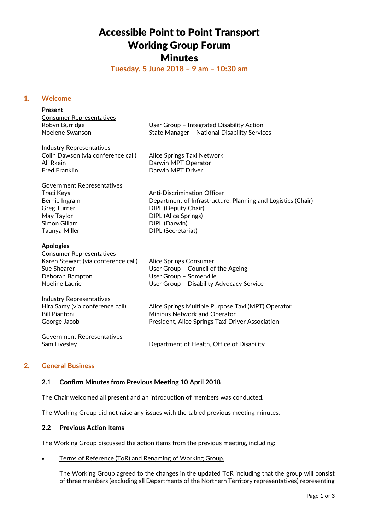# Accessible Point to Point Transport Working Group Forum **Minutes**

**Tuesday, 5 June 2018 – 9 am – 10:30 am**

# **1. Welcome**

# **Present** Consumer Representatives Robyn Burridge User Group – Integrated Disability Action Noelene Swanson State Manager - National Disability Services Industry Representatives Colin Dawson (via conference call) Alice Springs Taxi Network Ali Rkein Darwin MPT Operator Fred Franklin **Darwin MPT Driver** Government Representatives Traci Keys **Anti-Discrimination Officer** Bernie Ingram **Department of Infrastructure, Planning and Logistics (Chair)** Greg Turner **DIPL** (Deputy Chair) May Taylor **DIPL** (Alice Springs) Simon Gillam DIPL (Darwin) Taunya Miller **DIPL** (Secretariat) **Apologies** Consumer Representatives Karen Stewart (via conference call) Alice Springs Consumer Sue Shearer **In the User Group - Council of the Ageing** Deborah Bampton User Group – Somerville Noeline Laurie **Noeline Laurie 1966** User Group - Disability Advocacy Service Industry Representatives<br>Hira Samy (via conference call) Alice Springs Multiple Purpose Taxi (MPT) Operator Bill Piantoni **Minibus Network and Operator** George Jacob President, Alice Springs Taxi Driver Association

Government Representatives

Sam Livesley Department of Health, Office of Disability

# **2. General Business**

# **2.1 Confirm Minutes from Previous Meeting 10 April 2018**

The Chair welcomed all present and an introduction of members was conducted.

The Working Group did not raise any issues with the tabled previous meeting minutes.

#### **2.2 Previous Action Items**

The Working Group discussed the action items from the previous meeting, including:

Terms of Reference (ToR) and Renaming of Working Group.

The Working Group agreed to the changes in the updated ToR including that the group will consist of three members (excluding all Departments of the Northern Territory representatives) representing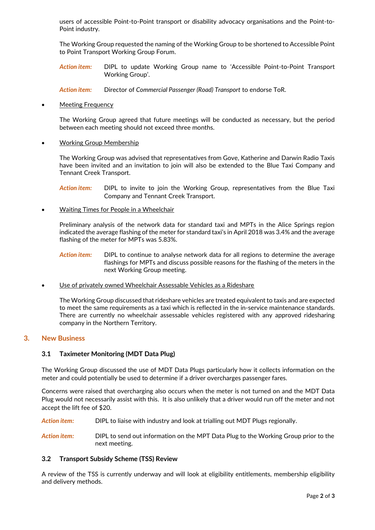users of accessible Point-to-Point transport or disability advocacy organisations and the Point-to-Point industry.

The Working Group requested the naming of the Working Group to be shortened to Accessible Point to Point Transport Working Group Forum.

*Action item:* DIPL to update Working Group name to 'Accessible Point-to-Point Transport Working Group'.

*Action item:* Director of *Commercial Passenger (Road) Transport* to endorse ToR.

Meeting Frequency

The Working Group agreed that future meetings will be conducted as necessary, but the period between each meeting should not exceed three months.

Working Group Membership

The Working Group was advised that representatives from Gove, Katherine and Darwin Radio Taxis have been invited and an invitation to join will also be extended to the Blue Taxi Company and Tennant Creek Transport.

*Action item:* DIPL to invite to join the Working Group, representatives from the Blue Taxi Company and Tennant Creek Transport.

• Waiting Times for People in a Wheelchair

Preliminary analysis of the network data for standard taxi and MPTs in the Alice Springs region indicated the average flashing of the meter for standard taxi's in April 2018 was 3.4% and the average flashing of the meter for MPTs was 5.83%.

*Action item:* DIPL to continue to analyse network data for all regions to determine the average flashings for MPTs and discuss possible reasons for the flashing of the meters in the next Working Group meeting.

Use of privately owned Wheelchair Assessable Vehicles as a Rideshare

The Working Group discussed that rideshare vehicles are treated equivalent to taxis and are expected to meet the same requirements as a taxi which is reflected in the in-service maintenance standards. There are currently no wheelchair assessable vehicles registered with any approved ridesharing company in the Northern Territory.

# **3. New Business**

# **3.1 Taximeter Monitoring (MDT Data Plug)**

The Working Group discussed the use of MDT Data Plugs particularly how it collects information on the meter and could potentially be used to determine if a driver overcharges passenger fares.

Concerns were raised that overcharging also occurs when the meter is not turned on and the MDT Data Plug would not necessarily assist with this. It is also unlikely that a driver would run off the meter and not accept the lift fee of \$20.

*Action item:* DIPL to liaise with industry and look at trialling out MDT Plugs regionally.

*Action item:* DIPL to send out information on the MPT Data Plug to the Working Group prior to the next meeting.

# **3.2 Transport Subsidy Scheme (TSS) Review**

A review of the TSS is currently underway and will look at eligibility entitlements, membership eligibility and delivery methods.